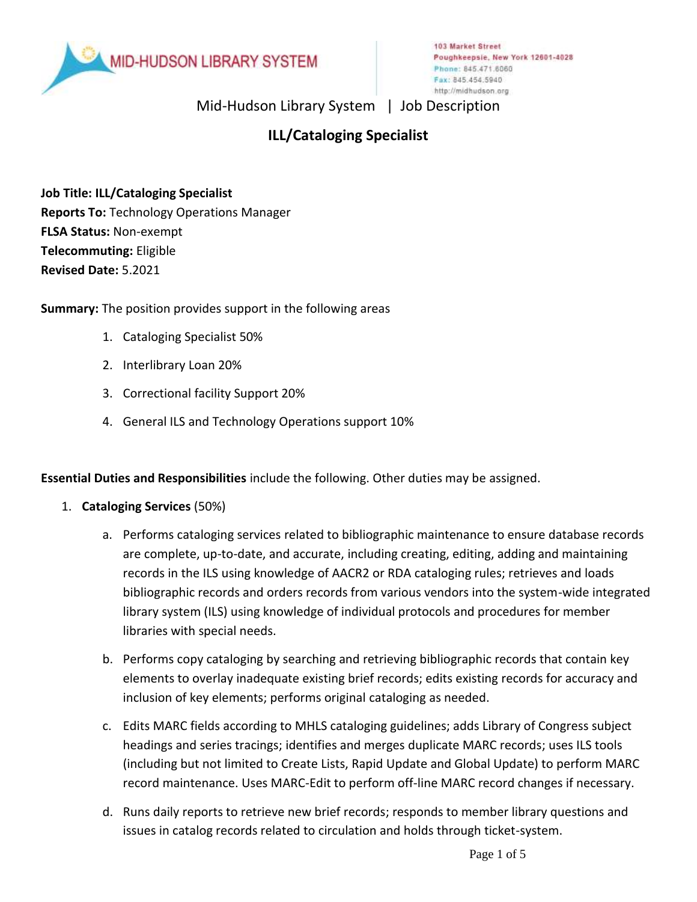

Mid-Hudson Library System | Job Description

# **ILL/Cataloging Specialist**

**Job Title: ILL/Cataloging Specialist Reports To:** Technology Operations Manager **FLSA Status:** Non-exempt **Telecommuting:** Eligible **Revised Date:** 5.2021

**Summary:** The position provides support in the following areas

- 1. Cataloging Specialist 50%
- 2. Interlibrary Loan 20%
- 3. Correctional facility Support 20%
- 4. General ILS and Technology Operations support 10%

**Essential Duties and Responsibilities** include the following. Other duties may be assigned.

- 1. **Cataloging Services** (50%)
	- a. Performs cataloging services related to bibliographic maintenance to ensure database records are complete, up-to-date, and accurate, including creating, editing, adding and maintaining records in the ILS using knowledge of AACR2 or RDA cataloging rules; retrieves and loads bibliographic records and orders records from various vendors into the system-wide integrated library system (ILS) using knowledge of individual protocols and procedures for member libraries with special needs.
	- b. Performs copy cataloging by searching and retrieving bibliographic records that contain key elements to overlay inadequate existing brief records; edits existing records for accuracy and inclusion of key elements; performs original cataloging as needed.
	- c. Edits MARC fields according to MHLS cataloging guidelines; adds Library of Congress subject headings and series tracings; identifies and merges duplicate MARC records; uses ILS tools (including but not limited to Create Lists, Rapid Update and Global Update) to perform MARC record maintenance. Uses MARC-Edit to perform off-line MARC record changes if necessary.
	- d. Runs daily reports to retrieve new brief records; responds to member library questions and issues in catalog records related to circulation and holds through ticket-system.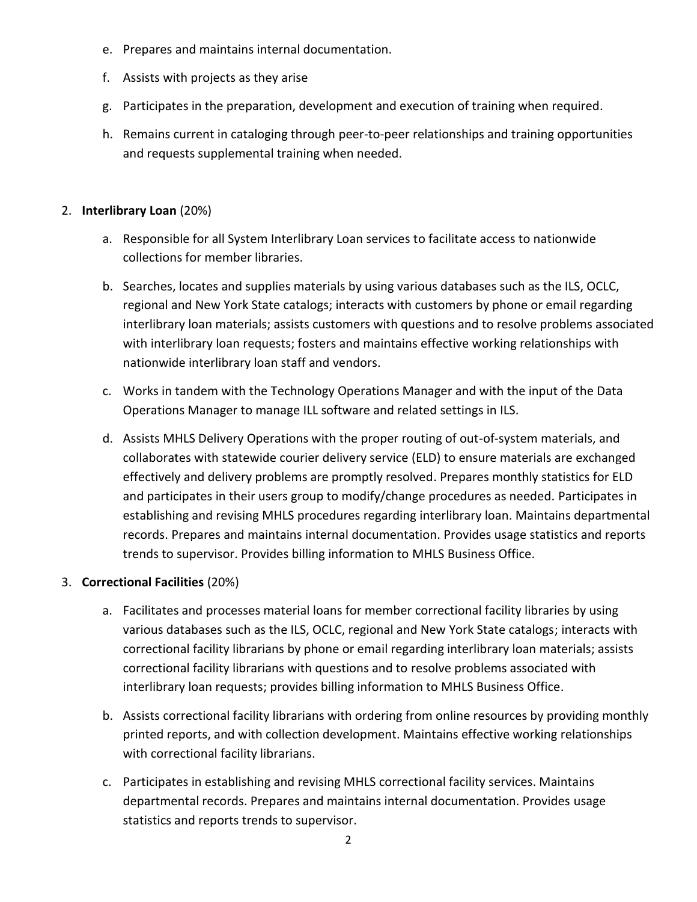- e. Prepares and maintains internal documentation.
- f. Assists with projects as they arise
- g. Participates in the preparation, development and execution of training when required.
- h. Remains current in cataloging through peer-to-peer relationships and training opportunities and requests supplemental training when needed.

### 2. **Interlibrary Loan** (20%)

- a. Responsible for all System Interlibrary Loan services to facilitate access to nationwide collections for member libraries.
- b. Searches, locates and supplies materials by using various databases such as the ILS, OCLC, regional and New York State catalogs; interacts with customers by phone or email regarding interlibrary loan materials; assists customers with questions and to resolve problems associated with interlibrary loan requests; fosters and maintains effective working relationships with nationwide interlibrary loan staff and vendors.
- c. Works in tandem with the Technology Operations Manager and with the input of the Data Operations Manager to manage ILL software and related settings in ILS.
- d. Assists MHLS Delivery Operations with the proper routing of out-of-system materials, and collaborates with statewide courier delivery service (ELD) to ensure materials are exchanged effectively and delivery problems are promptly resolved. Prepares monthly statistics for ELD and participates in their users group to modify/change procedures as needed. Participates in establishing and revising MHLS procedures regarding interlibrary loan. Maintains departmental records. Prepares and maintains internal documentation. Provides usage statistics and reports trends to supervisor. Provides billing information to MHLS Business Office.

## 3. **Correctional Facilities** (20%)

- a. Facilitates and processes material loans for member correctional facility libraries by using various databases such as the ILS, OCLC, regional and New York State catalogs; interacts with correctional facility librarians by phone or email regarding interlibrary loan materials; assists correctional facility librarians with questions and to resolve problems associated with interlibrary loan requests; provides billing information to MHLS Business Office.
- b. Assists correctional facility librarians with ordering from online resources by providing monthly printed reports, and with collection development. Maintains effective working relationships with correctional facility librarians.
- c. Participates in establishing and revising MHLS correctional facility services. Maintains departmental records. Prepares and maintains internal documentation. Provides usage statistics and reports trends to supervisor.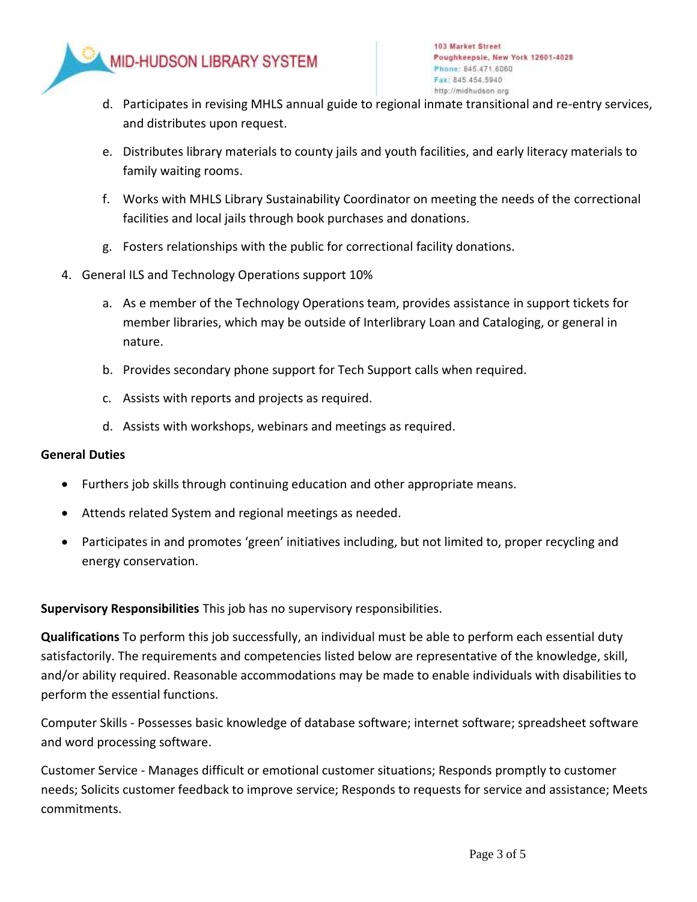

- d. Participates in revising MHLS annual guide to regional inmate transitional and re-entry services, and distributes upon request.
- e. Distributes library materials to county jails and youth facilities, and early literacy materials to family waiting rooms.
- f. Works with MHLS Library Sustainability Coordinator on meeting the needs of the correctional facilities and local jails through book purchases and donations.
- g. Fosters relationships with the public for correctional facility donations.
- 4. General ILS and Technology Operations support 10%
	- a. As e member of the Technology Operations team, provides assistance in support tickets for member libraries, which may be outside of Interlibrary Loan and Cataloging, or general in nature.
	- b. Provides secondary phone support for Tech Support calls when required.
	- c. Assists with reports and projects as required.
	- d. Assists with workshops, webinars and meetings as required.

#### **General Duties**

- Furthers job skills through continuing education and other appropriate means.
- Attends related System and regional meetings as needed.
- Participates in and promotes 'green' initiatives including, but not limited to, proper recycling and energy conservation.

**Supervisory Responsibilities** This job has no supervisory responsibilities.

**Qualifications** To perform this job successfully, an individual must be able to perform each essential duty satisfactorily. The requirements and competencies listed below are representative of the knowledge, skill, and/or ability required. Reasonable accommodations may be made to enable individuals with disabilities to perform the essential functions.

Computer Skills - Possesses basic knowledge of database software; internet software; spreadsheet software and word processing software.

Customer Service - Manages difficult or emotional customer situations; Responds promptly to customer needs; Solicits customer feedback to improve service; Responds to requests for service and assistance; Meets commitments.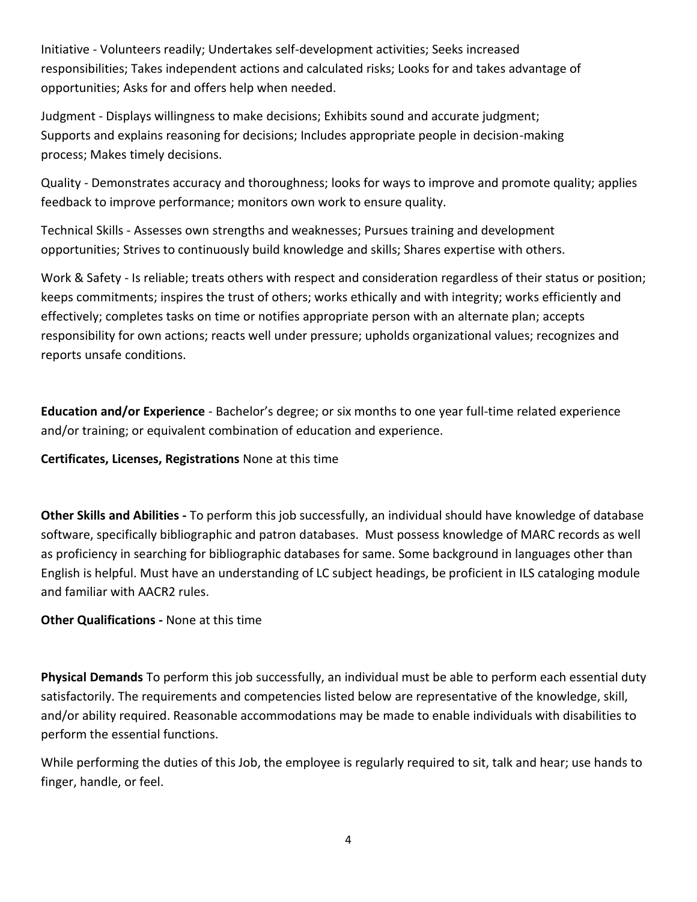Initiative - Volunteers readily; Undertakes self-development activities; Seeks increased responsibilities; Takes independent actions and calculated risks; Looks for and takes advantage of opportunities; Asks for and offers help when needed.

Judgment - Displays willingness to make decisions; Exhibits sound and accurate judgment; Supports and explains reasoning for decisions; Includes appropriate people in decision-making process; Makes timely decisions.

Quality - Demonstrates accuracy and thoroughness; looks for ways to improve and promote quality; applies feedback to improve performance; monitors own work to ensure quality.

Technical Skills - Assesses own strengths and weaknesses; Pursues training and development opportunities; Strives to continuously build knowledge and skills; Shares expertise with others.

Work & Safety - Is reliable; treats others with respect and consideration regardless of their status or position; keeps commitments; inspires the trust of others; works ethically and with integrity; works efficiently and effectively; completes tasks on time or notifies appropriate person with an alternate plan; accepts responsibility for own actions; reacts well under pressure; upholds organizational values; recognizes and reports unsafe conditions.

**Education and/or Experience** - Bachelor's degree; or six months to one year full-time related experience and/or training; or equivalent combination of education and experience.

## **Certificates, Licenses, Registrations** None at this time

**Other Skills and Abilities -** To perform this job successfully, an individual should have knowledge of database software, specifically bibliographic and patron databases. Must possess knowledge of MARC records as well as proficiency in searching for bibliographic databases for same. Some background in languages other than English is helpful. Must have an understanding of LC subject headings, be proficient in ILS cataloging module and familiar with AACR2 rules.

## **Other Qualifications -** None at this time

**Physical Demands** To perform this job successfully, an individual must be able to perform each essential duty satisfactorily. The requirements and competencies listed below are representative of the knowledge, skill, and/or ability required. Reasonable accommodations may be made to enable individuals with disabilities to perform the essential functions.

While performing the duties of this Job, the employee is regularly required to sit, talk and hear; use hands to finger, handle, or feel.